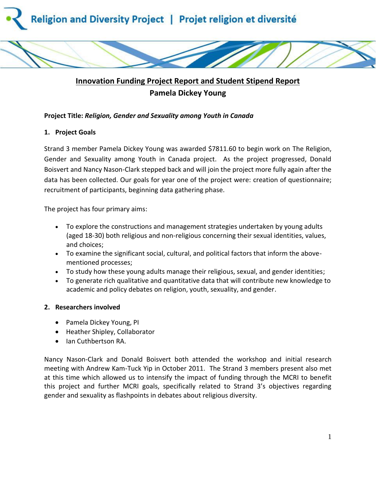

# **Innovation Funding Project Report and Student Stipend Report Pamela Dickey Young**

## **Project Title:** *Religion, Gender and Sexuality among Youth in Canada*

## **1. Project Goals**

Strand 3 member Pamela Dickey Young was awarded \$7811.60 to begin work on The Religion, Gender and Sexuality among Youth in Canada project. As the project progressed, Donald Boisvert and Nancy Nason-Clark stepped back and will join the project more fully again after the data has been collected. Our goals for year one of the project were: creation of questionnaire; recruitment of participants, beginning data gathering phase.

The project has four primary aims:

- To explore the constructions and management strategies undertaken by young adults (aged 18-30) both religious and non-religious concerning their sexual identities, values, and choices;
- To examine the significant social, cultural, and political factors that inform the abovementioned processes;
- To study how these young adults manage their religious, sexual, and gender identities;
- To generate rich qualitative and quantitative data that will contribute new knowledge to academic and policy debates on religion, youth, sexuality, and gender.

## **2. Researchers involved**

- Pamela Dickey Young, PI
- Heather Shipley, Collaborator
- Ian Cuthbertson RA.

Nancy Nason-Clark and Donald Boisvert both attended the workshop and initial research meeting with Andrew Kam-Tuck Yip in October 2011. The Strand 3 members present also met at this time which allowed us to intensify the impact of funding through the MCRI to benefit this project and further MCRI goals, specifically related to Strand 3's objectives regarding gender and sexuality as flashpoints in debates about religious diversity.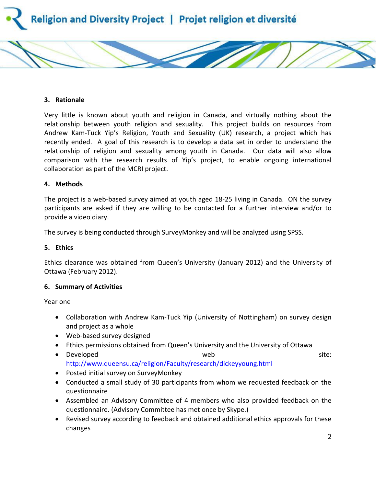

#### **3. Rationale**

Very little is known about youth and religion in Canada, and virtually nothing about the relationship between youth religion and sexuality. This project builds on resources from Andrew Kam-Tuck Yip's Religion, Youth and Sexuality (UK) research, a project which has recently ended. A goal of this research is to develop a data set in order to understand the relationship of religion and sexuality among youth in Canada. Our data will also allow comparison with the research results of Yip's project, to enable ongoing international collaboration as part of the MCRI project.

#### **4. Methods**

The project is a web-based survey aimed at youth aged 18-25 living in Canada. ON the survey participants are asked if they are willing to be contacted for a further interview and/or to provide a video diary.

The survey is being conducted through SurveyMonkey and will be analyzed using SPSS.

#### **5. Ethics**

Ethics clearance was obtained from Queen's University (January 2012) and the University of Ottawa (February 2012).

#### **6. Summary of Activities**

Year one

- Collaboration with Andrew Kam-Tuck Yip (University of Nottingham) on survey design and project as a whole
- Web-based survey designed
- Ethics permissions obtained from Queen's University and the University of Ottawa
- Developed **by site:** Web site: the site of the site of the site of the site of the site of the site of the site of the site of the site of the site of the site of the site of the site of the site of the site of the site <http://www.queensu.ca/religion/Faculty/research/dickeyyoung.html>
- Posted initial survey on SurveyMonkey
- Conducted a small study of 30 participants from whom we requested feedback on the questionnaire
- Assembled an Advisory Committee of 4 members who also provided feedback on the questionnaire. (Advisory Committee has met once by Skype.)
- Revised survey according to feedback and obtained additional ethics approvals for these changes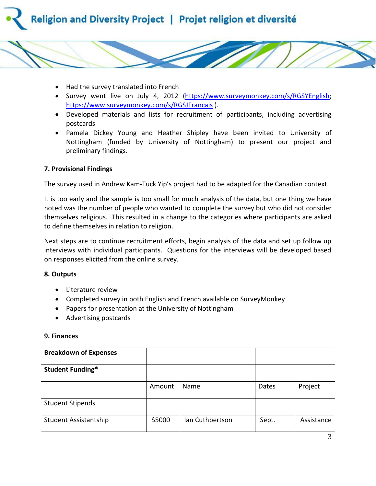



- Survey went live on July 4, 2012 [\(https://www.surveymonkey.com/s/RGSYEnglish;](https://www.surveymonkey.com/s/RGSYEnglish) <https://www.surveymonkey.com/s/RGSJFrancais> ).
- Developed materials and lists for recruitment of participants, including advertising postcards
- Pamela Dickey Young and Heather Shipley have been invited to University of Nottingham (funded by University of Nottingham) to present our project and preliminary findings.

### **7. Provisional Findings**

The survey used in Andrew Kam-Tuck Yip's project had to be adapted for the Canadian context.

It is too early and the sample is too small for much analysis of the data, but one thing we have noted was the number of people who wanted to complete the survey but who did not consider themselves religious. This resulted in a change to the categories where participants are asked to define themselves in relation to religion.

Next steps are to continue recruitment efforts, begin analysis of the data and set up follow up interviews with individual participants. Questions for the interviews will be developed based on responses elicited from the online survey.

#### **8. Outputs**

- Literature review
- Completed survey in both English and French available on SurveyMonkey
- Papers for presentation at the University of Nottingham
- Advertising postcards

#### **9. Finances**

| <b>Breakdown of Expenses</b> |        |                 |       |            |
|------------------------------|--------|-----------------|-------|------------|
| <b>Student Funding*</b>      |        |                 |       |            |
|                              | Amount | <b>Name</b>     | Dates | Project    |
| <b>Student Stipends</b>      |        |                 |       |            |
| Student Assistantship        | \$5000 | Ian Cuthbertson | Sept. | Assistance |